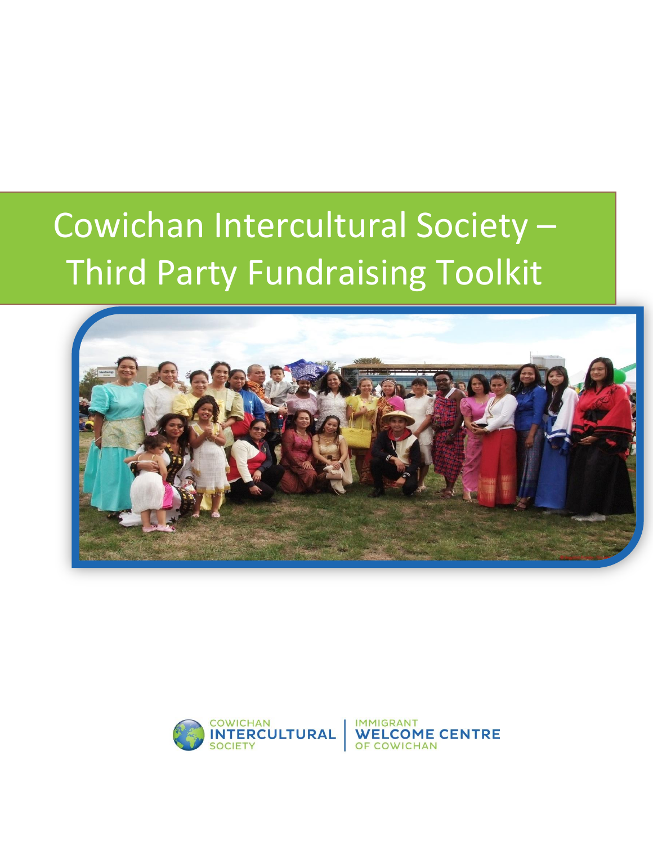# Cowichan Intercultural Society – Third Party Fundraising Toolkit



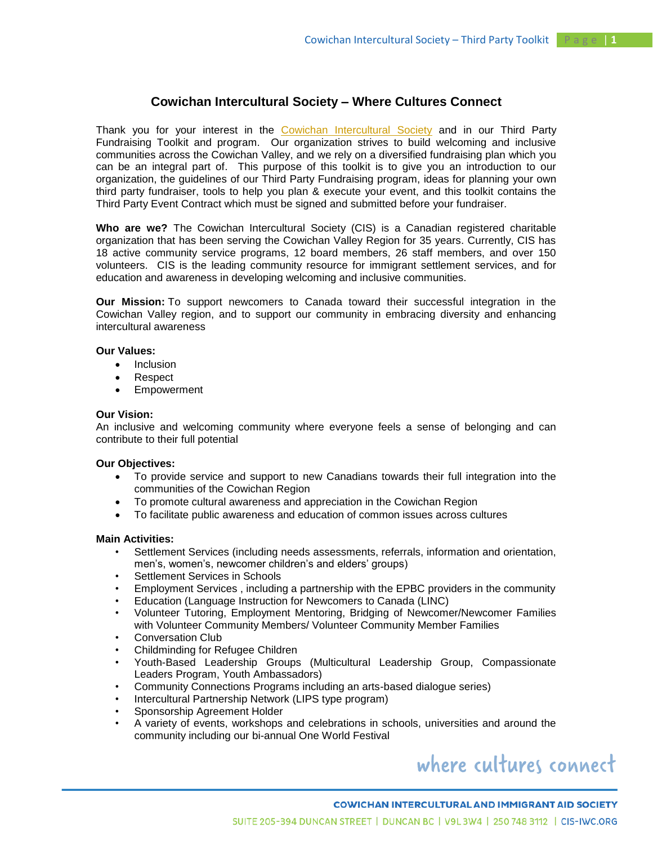### **Cowichan Intercultural Society – Where Cultures Connect**

Thank you for your interest in the [Cowichan Intercultural Society](http://www.cis-iwc.org/) and in our Third Party Fundraising Toolkit and program. Our organization strives to build welcoming and inclusive communities across the Cowichan Valley, and we rely on a diversified fundraising plan which you can be an integral part of. This purpose of this toolkit is to give you an introduction to our organization, the guidelines of our Third Party Fundraising program, ideas for planning your own third party fundraiser, tools to help you plan & execute your event, and this toolkit contains the Third Party Event Contract which must be signed and submitted before your fundraiser.

**Who are we?** The Cowichan Intercultural Society (CIS) is a Canadian registered charitable organization that has been serving the Cowichan Valley Region for 35 years. Currently, CIS has 18 active community service programs, 12 board members, 26 staff members, and over 150 volunteers. CIS is the leading community resource for immigrant settlement services, and for education and awareness in developing welcoming and inclusive communities.

**Our Mission:** To support newcomers to Canada toward their successful integration in the Cowichan Valley region, and to support our community in embracing diversity and enhancing intercultural awareness

### **Our Values:**

- Inclusion
- Respect
- Empowerment

#### **Our Vision:**

An inclusive and welcoming community where everyone feels a sense of belonging and can contribute to their full potential

### **Our Objectives:**

- To provide service and support to new Canadians towards their full integration into the communities of the Cowichan Region
- To promote cultural awareness and appreciation in the Cowichan Region
- To facilitate public awareness and education of common issues across cultures

#### **Main Activities:**

- Settlement Services (including needs assessments, referrals, information and orientation, men's, women's, newcomer children's and elders' groups)
- Settlement Services in Schools
- Employment Services , including a partnership with the EPBC providers in the community
- Education (Language Instruction for Newcomers to Canada (LINC)
- Volunteer Tutoring, Employment Mentoring, Bridging of Newcomer/Newcomer Families with Volunteer Community Members/ Volunteer Community Member Families
- Conversation Club
- Childminding for Refugee Children
- Youth-Based Leadership Groups (Multicultural Leadership Group, Compassionate Leaders Program, Youth Ambassadors)
- Community Connections Programs including an arts-based dialogue series)
- Intercultural Partnership Network (LIPS type program)
- Sponsorship Agreement Holder
- A variety of events, workshops and celebrations in schools, universities and around the community including our bi-annual One World Festival

# where cultures connect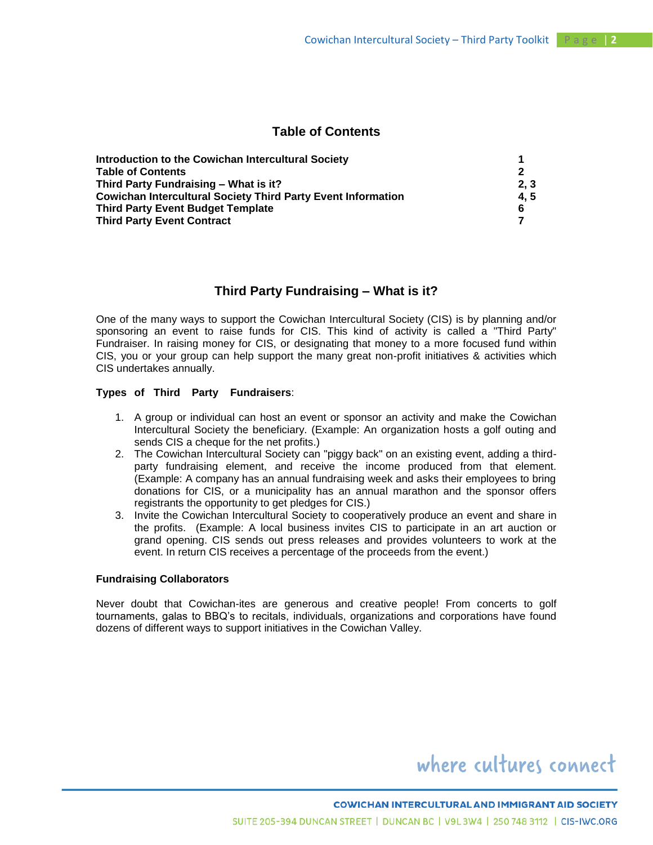### **Table of Contents**

| Introduction to the Cowichan Intercultural Society                  |     |
|---------------------------------------------------------------------|-----|
| <b>Table of Contents</b>                                            |     |
| Third Party Fundraising - What is it?                               | 2.3 |
| <b>Cowichan Intercultural Society Third Party Event Information</b> | 4.5 |
| <b>Third Party Event Budget Template</b>                            | 6   |
| <b>Third Party Event Contract</b>                                   |     |

### **Third Party Fundraising – What is it?**

One of the many ways to support the Cowichan Intercultural Society (CIS) is by planning and/or sponsoring an event to raise funds for CIS. This kind of activity is called a "Third Party" Fundraiser. In raising money for CIS, or designating that money to a more focused fund within CIS, you or your group can help support the many great non-profit initiatives & activities which CIS undertakes annually.

### **Types of Third Party Fundraisers**:

- 1. A group or individual can host an event or sponsor an activity and make the Cowichan Intercultural Society the beneficiary. (Example: An organization hosts a golf outing and sends CIS a cheque for the net profits.)
- 2. The Cowichan Intercultural Society can "piggy back" on an existing event, adding a thirdparty fundraising element, and receive the income produced from that element. (Example: A company has an annual fundraising week and asks their employees to bring donations for CIS, or a municipality has an annual marathon and the sponsor offers registrants the opportunity to get pledges for CIS.)
- 3. Invite the Cowichan Intercultural Society to cooperatively produce an event and share in the profits. (Example: A local business invites CIS to participate in an art auction or grand opening. CIS sends out press releases and provides volunteers to work at the event. In return CIS receives a percentage of the proceeds from the event.)

### **Fundraising Collaborators**

Never doubt that Cowichan-ites are generous and creative people! From concerts to golf tournaments, galas to BBQ's to recitals, individuals, organizations and corporations have found dozens of different ways to support initiatives in the Cowichan Valley.

# where cultures connect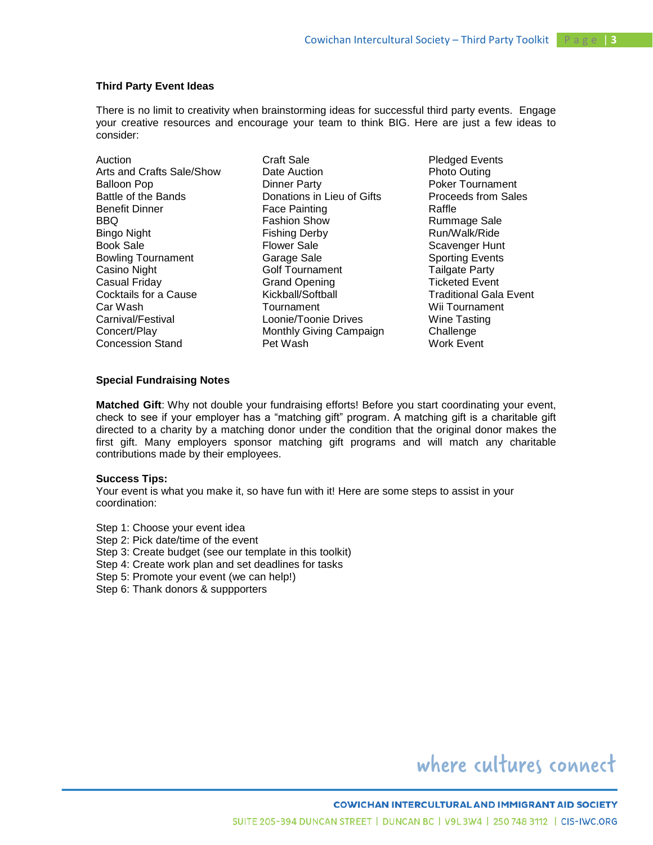### **Third Party Event Ideas**

There is no limit to creativity when brainstorming ideas for successful third party events. Engage your creative resources and encourage your team to think BIG. Here are just a few ideas to consider:

Auction Arts and Crafts Sale/Show Balloon Pop Battle of the Bands Benefit Dinner BBQ Bingo Night Book Sale Bowling Tournament Casino Night Casual Friday Cocktails for a Cause Car Wash Carnival/Festival Concert/Play Concession Stand

Craft Sale Date Auction Dinner Party Donations in Lieu of Gifts Face Painting Fashion Show Fishing Derby Flower Sale Garage Sale Golf Tournament Grand Opening Kickball/Softball **Tournament** Loonie/Toonie Drives Monthly Giving Campaign Pet Wash

Pledged Events Photo Outing Poker Tournament Proceeds from Sales Raffle Rummage Sale Run/Walk/Ride Scavenger Hunt Sporting Events Tailgate Party Ticketed Event Traditional Gala Event Wii Tournament Wine Tasting **Challenge** Work Event

### **Special Fundraising Notes**

**Matched Gift**: Why not double your fundraising efforts! Before you start coordinating your event, check to see if your employer has a "matching gift" program. A matching gift is a charitable gift directed to a charity by a matching donor under the condition that the original donor makes the first gift. Many employers sponsor matching gift programs and will match any charitable contributions made by their employees.

#### **Success Tips:**

Your event is what you make it, so have fun with it! Here are some steps to assist in your coordination:

- Step 1: Choose your event idea
- Step 2: Pick date/time of the event
- Step 3: Create budget (see our template in this toolkit)
- Step 4: Create work plan and set deadlines for tasks
- Step 5: Promote your event (we can help!)
- Step 6: Thank donors & suppporters

# where cultures connect

#### **COWICHAN INTERCULTURAL AND IMMIGRANT AID SOCIETY**

SUITE 205-394 DUNCAN STREET | DUNCAN BC | V9L 3W4 | 250 748 3112 | CIS-IWC.ORG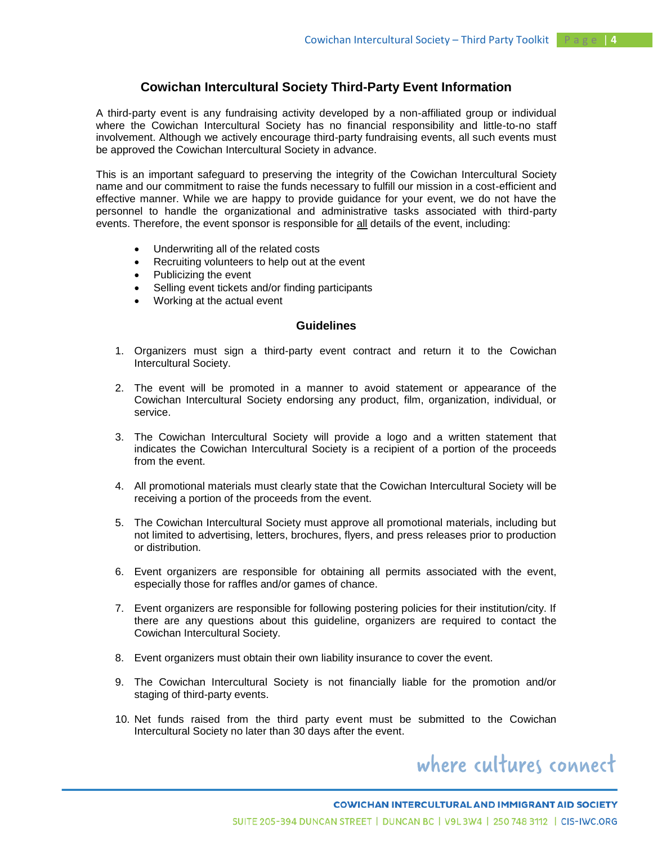### **Cowichan Intercultural Society Third-Party Event Information**

A third-party event is any fundraising activity developed by a non-affiliated group or individual where the Cowichan Intercultural Society has no financial responsibility and little-to-no staff involvement. Although we actively encourage third-party fundraising events, all such events must be approved the Cowichan Intercultural Society in advance.

This is an important safeguard to preserving the integrity of the Cowichan Intercultural Society name and our commitment to raise the funds necessary to fulfill our mission in a cost-efficient and effective manner. While we are happy to provide guidance for your event, we do not have the personnel to handle the organizational and administrative tasks associated with third-party events. Therefore, the event sponsor is responsible for all details of the event, including:

- Underwriting all of the related costs
- Recruiting volunteers to help out at the event
- Publicizing the event
- Selling event tickets and/or finding participants
- Working at the actual event

### **Guidelines**

- 1. Organizers must sign a third-party event contract and return it to the Cowichan Intercultural Society.
- 2. The event will be promoted in a manner to avoid statement or appearance of the Cowichan Intercultural Society endorsing any product, film, organization, individual, or service.
- 3. The Cowichan Intercultural Society will provide a logo and a written statement that indicates the Cowichan Intercultural Society is a recipient of a portion of the proceeds from the event.
- 4. All promotional materials must clearly state that the Cowichan Intercultural Society will be receiving a portion of the proceeds from the event.
- 5. The Cowichan Intercultural Society must approve all promotional materials, including but not limited to advertising, letters, brochures, flyers, and press releases prior to production or distribution.
- 6. Event organizers are responsible for obtaining all permits associated with the event, especially those for raffles and/or games of chance.
- 7. Event organizers are responsible for following postering policies for their institution/city. If there are any questions about this guideline, organizers are required to contact the Cowichan Intercultural Society.
- 8. Event organizers must obtain their own liability insurance to cover the event.
- 9. The Cowichan Intercultural Society is not financially liable for the promotion and/or staging of third-party events.
- 10. Net funds raised from the third party event must be submitted to the Cowichan Intercultural Society no later than 30 days after the event.

# where cultures connect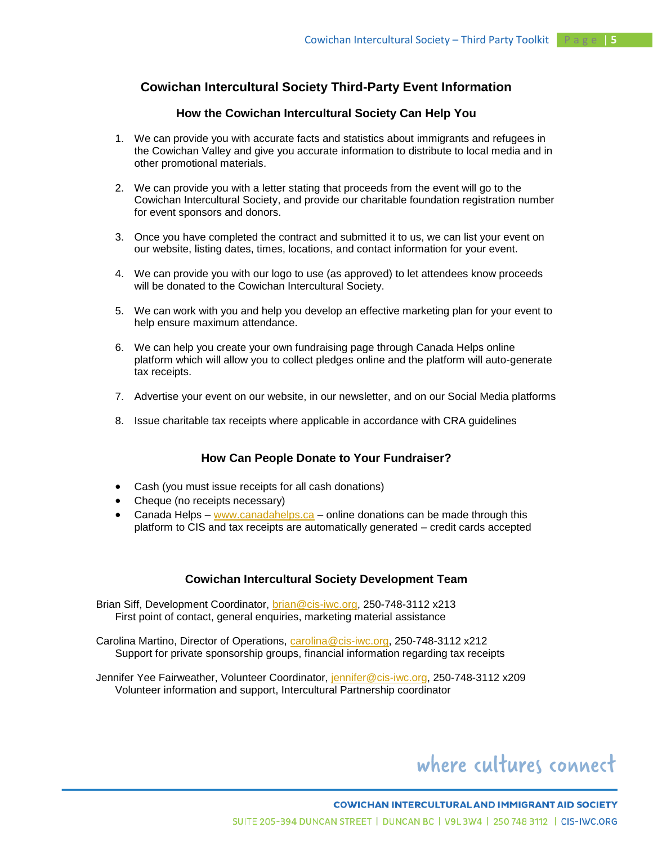### **Cowichan Intercultural Society Third-Party Event Information**

### **How the Cowichan Intercultural Society Can Help You**

- 1. We can provide you with accurate facts and statistics about immigrants and refugees in the Cowichan Valley and give you accurate information to distribute to local media and in other promotional materials.
- 2. We can provide you with a letter stating that proceeds from the event will go to the Cowichan Intercultural Society, and provide our charitable foundation registration number for event sponsors and donors.
- 3. Once you have completed the contract and submitted it to us, we can list your event on our website, listing dates, times, locations, and contact information for your event.
- 4. We can provide you with our logo to use (as approved) to let attendees know proceeds will be donated to the Cowichan Intercultural Society.
- 5. We can work with you and help you develop an effective marketing plan for your event to help ensure maximum attendance.
- 6. We can help you create your own fundraising page through Canada Helps online platform which will allow you to collect pledges online and the platform will auto-generate tax receipts.
- 7. Advertise your event on our website, in our newsletter, and on our Social Media platforms
- 8. Issue charitable tax receipts where applicable in accordance with CRA guidelines

### **How Can People Donate to Your Fundraiser?**

- Cash (you must issue receipts for all cash donations)
- Cheque (no receipts necessary)
- Canada Helps [www.canadahelps.ca](http://www.canadahelps.ca/) online donations can be made through this platform to CIS and tax receipts are automatically generated – credit cards accepted

### **Cowichan Intercultural Society Development Team**

Brian Siff, Development Coordinator, [brian@cis-iwc.org,](mailto:brian@cis-iwc.org) 250-748-3112 x213 First point of contact, general enquiries, marketing material assistance

Carolina Martino, Director of Operations, [carolina@cis-iwc.org,](mailto:carolina@cis-iwc.org) 250-748-3112 x212 Support for private sponsorship groups, financial information regarding tax receipts

Jennifer Yee Fairweather, Volunteer Coordinator, [jennifer@cis-iwc.org,](mailto:jennifer@cis-iwc.org) 250-748-3112 x209 Volunteer information and support, Intercultural Partnership coordinator

# where cultures connect

### **COWICHAN INTERCULTURAL AND IMMIGRANT AID SOCIETY** SUITE 205-394 DUNCAN STREET | DUNCAN BC | V9L 3W4 | 250 748 3112 | CIS-IWC.ORG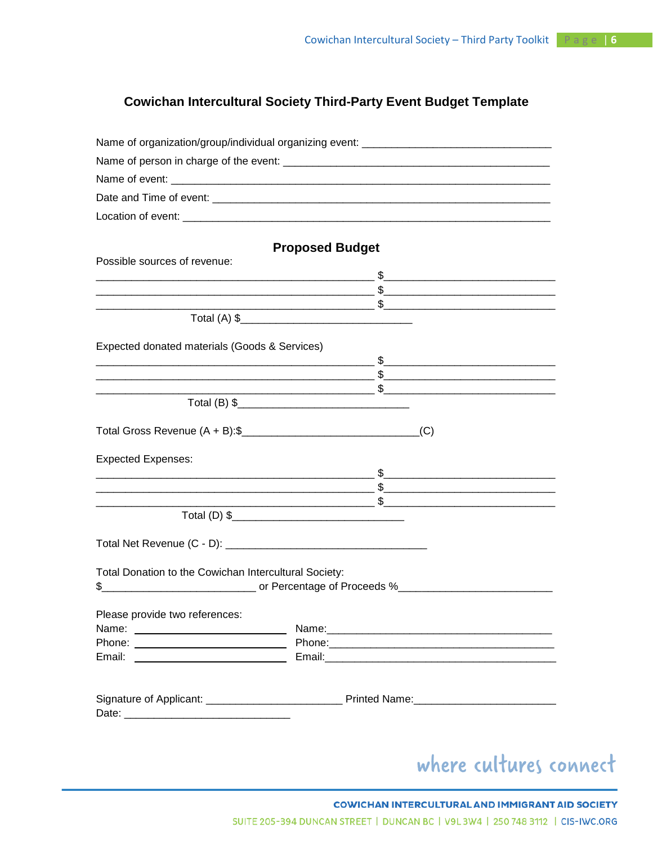# **Cowichan Intercultural Society Third-Party Event Budget Template**

| Name of organization/group/individual organizing event: _________________________ |                        |                        |
|-----------------------------------------------------------------------------------|------------------------|------------------------|
|                                                                                   |                        |                        |
|                                                                                   |                        |                        |
|                                                                                   |                        |                        |
|                                                                                   |                        |                        |
|                                                                                   |                        |                        |
|                                                                                   | <b>Proposed Budget</b> |                        |
| Possible sources of revenue:                                                      |                        |                        |
|                                                                                   |                        |                        |
|                                                                                   |                        |                        |
|                                                                                   |                        |                        |
|                                                                                   |                        |                        |
| Expected donated materials (Goods & Services)                                     |                        |                        |
|                                                                                   |                        |                        |
|                                                                                   |                        |                        |
|                                                                                   |                        |                        |
|                                                                                   |                        |                        |
|                                                                                   |                        |                        |
| <b>Expected Expenses:</b>                                                         |                        |                        |
|                                                                                   |                        |                        |
|                                                                                   |                        |                        |
|                                                                                   |                        |                        |
|                                                                                   |                        |                        |
|                                                                                   |                        |                        |
| Total Donation to the Cowichan Intercultural Society:                             |                        |                        |
|                                                                                   |                        |                        |
|                                                                                   |                        |                        |
| Please provide two references:                                                    |                        |                        |
|                                                                                   |                        |                        |
|                                                                                   |                        |                        |
|                                                                                   |                        |                        |
|                                                                                   |                        |                        |
|                                                                                   |                        |                        |
|                                                                                   |                        |                        |
|                                                                                   |                        |                        |
|                                                                                   |                        | where cultures connect |
|                                                                                   |                        |                        |